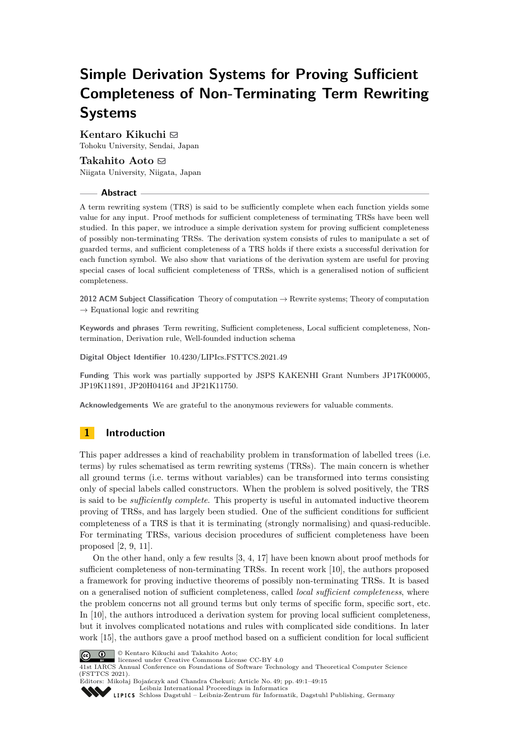# **Simple Derivation Systems for Proving Sufficient Completeness of Non-Terminating Term Rewriting Systems**

# **Kentaro Kikuchi** ⊠

Tohoku University, Sendai, Japan

## **Takahito Aoto** ⊠

Niigata University, Niigata, Japan

## **Abstract**

A term rewriting system (TRS) is said to be sufficiently complete when each function yields some value for any input. Proof methods for sufficient completeness of terminating TRSs have been well studied. In this paper, we introduce a simple derivation system for proving sufficient completeness of possibly non-terminating TRSs. The derivation system consists of rules to manipulate a set of guarded terms, and sufficient completeness of a TRS holds if there exists a successful derivation for each function symbol. We also show that variations of the derivation system are useful for proving special cases of local sufficient completeness of TRSs, which is a generalised notion of sufficient completeness.

**2012 ACM Subject Classification** Theory of computation → Rewrite systems; Theory of computation  $\rightarrow$  Equational logic and rewriting

**Keywords and phrases** Term rewriting, Sufficient completeness, Local sufficient completeness, Nontermination, Derivation rule, Well-founded induction schema

**Digital Object Identifier** [10.4230/LIPIcs.FSTTCS.2021.49](https://doi.org/10.4230/LIPIcs.FSTTCS.2021.49)

**Funding** This work was partially supported by JSPS KAKENHI Grant Numbers JP17K00005, JP19K11891, JP20H04164 and JP21K11750.

**Acknowledgements** We are grateful to the anonymous reviewers for valuable comments.

# **1 Introduction**

This paper addresses a kind of reachability problem in transformation of labelled trees (i.e. terms) by rules schematised as term rewriting systems (TRSs). The main concern is whether all ground terms (i.e. terms without variables) can be transformed into terms consisting only of special labels called constructors. When the problem is solved positively, the TRS is said to be *sufficiently complete*. This property is useful in automated inductive theorem proving of TRSs, and has largely been studied. One of the sufficient conditions for sufficient completeness of a TRS is that it is terminating (strongly normalising) and quasi-reducible. For terminating TRSs, various decision procedures of sufficient completeness have been proposed [\[2,](#page-13-0) [9,](#page-13-1) [11\]](#page-13-2).

On the other hand, only a few results [\[3,](#page-13-3) [4,](#page-13-4) [17\]](#page-14-0) have been known about proof methods for sufficient completeness of non-terminating TRSs. In recent work [\[10\]](#page-13-5), the authors proposed a framework for proving inductive theorems of possibly non-terminating TRSs. It is based on a generalised notion of sufficient completeness, called *local sufficient completeness*, where the problem concerns not all ground terms but only terms of specific form, specific sort, etc. In [\[10\]](#page-13-5), the authors introduced a derivation system for proving local sufficient completeness, but it involves complicated notations and rules with complicated side conditions. In later work [\[15\]](#page-14-1), the authors gave a proof method based on a sufficient condition for local sufficient



 $\overline{\textbf{C}}$   $\overline{\textbf{O}}$   $\overline{\textbf{O}}$  Kentaro Kikuchi and Takahito Aoto:

licensed under Creative Commons License CC-BY 4.0

41st IARCS Annual Conference on Foundations of Software Technology and Theoretical Computer Science (FSTTCS 2021).



Editors: Mikołaj Bojańczyk and Chandra Chekuri; Article No. 49; pp. 49:1–49:15 [Leibniz International Proceedings in Informatics](https://www.dagstuhl.de/lipics/)

[Schloss Dagstuhl – Leibniz-Zentrum für Informatik, Dagstuhl Publishing, Germany](https://www.dagstuhl.de)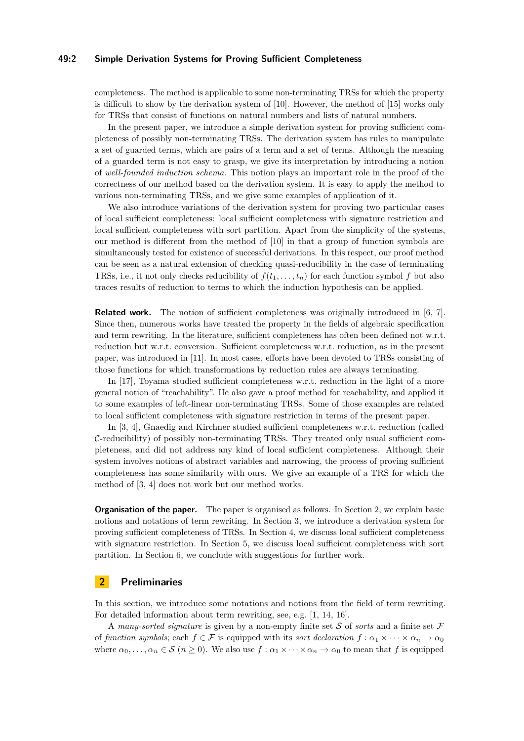## **49:2 Simple Derivation Systems for Proving Sufficient Completeness**

completeness. The method is applicable to some non-terminating TRSs for which the property is difficult to show by the derivation system of [\[10\]](#page-13-5). However, the method of [\[15\]](#page-14-1) works only for TRSs that consist of functions on natural numbers and lists of natural numbers.

In the present paper, we introduce a simple derivation system for proving sufficient completeness of possibly non-terminating TRSs. The derivation system has rules to manipulate a set of guarded terms, which are pairs of a term and a set of terms. Although the meaning of a guarded term is not easy to grasp, we give its interpretation by introducing a notion of *well-founded induction schema*. This notion plays an important role in the proof of the correctness of our method based on the derivation system. It is easy to apply the method to various non-terminating TRSs, and we give some examples of application of it.

We also introduce variations of the derivation system for proving two particular cases of local sufficient completeness: local sufficient completeness with signature restriction and local sufficient completeness with sort partition. Apart from the simplicity of the systems, our method is different from the method of [\[10\]](#page-13-5) in that a group of function symbols are simultaneously tested for existence of successful derivations. In this respect, our proof method can be seen as a natural extension of checking quasi-reducibility in the case of terminating TRSs, i.e., it not only checks reducibility of  $f(t_1, \ldots, t_n)$  for each function symbol f but also traces results of reduction to terms to which the induction hypothesis can be applied.

**Related work.** The notion of sufficient completeness was originally introduced in [\[6,](#page-13-6) [7\]](#page-13-7). Since then, numerous works have treated the property in the fields of algebraic specification and term rewriting. In the literature, sufficient completeness has often been defined not w.r.t. reduction but w.r.t. conversion. Sufficient completeness w.r.t. reduction, as in the present paper, was introduced in [\[11\]](#page-13-2). In most cases, efforts have been devoted to TRSs consisting of those functions for which transformations by reduction rules are always terminating.

In [\[17\]](#page-14-0), Toyama studied sufficient completeness w.r.t. reduction in the light of a more general notion of "reachability". He also gave a proof method for reachability, and applied it to some examples of left-linear non-terminating TRSs. Some of those examples are related to local sufficient completeness with signature restriction in terms of the present paper.

In [\[3,](#page-13-3) [4\]](#page-13-4), Gnaedig and Kirchner studied sufficient completeness w.r.t. reduction (called  $C$ -reducibility) of possibly non-terminating TRSs. They treated only usual sufficient completeness, and did not address any kind of local sufficient completeness. Although their system involves notions of abstract variables and narrowing, the process of proving sufficient completeness has some similarity with ours. We give an example of a TRS for which the method of [\[3,](#page-13-3) [4\]](#page-13-4) does not work but our method works.

**Organisation of the paper.** The paper is organised as follows. In Section [2,](#page-1-0) we explain basic notions and notations of term rewriting. In Section [3,](#page-3-0) we introduce a derivation system for proving sufficient completeness of TRSs. In Section [4,](#page-8-0) we discuss local sufficient completeness with signature restriction. In Section [5,](#page-9-0) we discuss local sufficient completeness with sort partition. In Section [6,](#page-12-0) we conclude with suggestions for further work.

# <span id="page-1-0"></span>**2 Preliminaries**

In this section, we introduce some notations and notions from the field of term rewriting. For detailed information about term rewriting, see, e.g. [\[1,](#page-13-8) [14,](#page-14-2) [16\]](#page-14-3).

A *many-sorted signature* is given by a non-empty finite set S of *sorts* and a finite set F of *function symbols*; each  $f \in \mathcal{F}$  is equipped with its *sort declaration*  $f : \alpha_1 \times \cdots \times \alpha_n \to \alpha_0$ where  $\alpha_0, \ldots, \alpha_n \in \mathcal{S}$  ( $n \geq 0$ ). We also use  $f : \alpha_1 \times \cdots \times \alpha_n \to \alpha_0$  to mean that f is equipped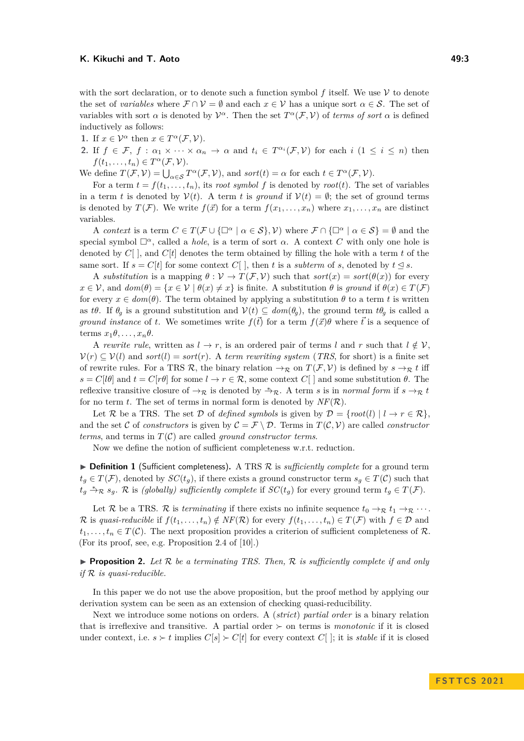with the sort declaration, or to denote such a function symbol  $f$  itself. We use  $\mathcal V$  to denote the set of *variables* where  $\mathcal{F} \cap \mathcal{V} = \emptyset$  and each  $x \in \mathcal{V}$  has a unique sort  $\alpha \in \mathcal{S}$ . The set of variables with sort  $\alpha$  is denoted by  $\mathcal{V}^{\alpha}$ . Then the set  $T^{\alpha}(\mathcal{F}, \mathcal{V})$  of *terms of sort*  $\alpha$  is defined inductively as follows:

**1.** If  $x \in \mathcal{V}^{\alpha}$  then  $x \in T^{\alpha}(\mathcal{F}, \mathcal{V})$ .

**2.** If  $f \in \mathcal{F}, f : \alpha_1 \times \cdots \times \alpha_n \to \alpha$  and  $t_i \in T^{\alpha_i}(\mathcal{F}, \mathcal{V})$  for each  $i (1 \leq i \leq n)$  then  $f(t_1, \ldots, t_n) \in T^{\alpha}(\mathcal{F}, \mathcal{V}).$ 

We define  $T(\mathcal{F}, \mathcal{V}) = \bigcup_{\alpha \in \mathcal{S}} T^{\alpha}(\mathcal{F}, \mathcal{V})$ , and  $sort(t) = \alpha$  for each  $t \in T^{\alpha}(\mathcal{F}, \mathcal{V})$ .

For a term  $t = f(t_1, \ldots, t_n)$ , its *root symbol* f is denoted by  $root(t)$ . The set of variables in a term *t* is denoted by  $V(t)$ . A term *t* is *ground* if  $V(t) = \emptyset$ ; the set of ground terms is denoted by  $T(F)$ . We write  $f(\vec{x})$  for a term  $f(x_1, \ldots, x_n)$  where  $x_1, \ldots, x_n$  are distinct variables.

A *context* is a term  $C \in T(F \cup \{\Box^{\alpha} \mid \alpha \in S\}, V)$  where  $\mathcal{F} \cap \{\Box^{\alpha} \mid \alpha \in S\} = \emptyset$  and the special symbol  $\square^{\alpha}$ , called a *hole*, is a term of sort  $\alpha$ . A context *C* with only one hole is denoted by  $C[\ ]$ , and  $C[t]$  denotes the term obtained by filling the hole with a term  $t$  of the same sort. If  $s = C[t]$  for some context  $C[$ , then *t* is a *subterm* of *s*, denoted by  $t \leq s$ .

A *substitution* is a mapping  $\theta : \mathcal{V} \to T(\mathcal{F}, \mathcal{V})$  such that  $sort(x) = sort(\theta(x))$  for every  $x \in V$ , and  $dom(\theta) = \{x \in V \mid \theta(x) \neq x\}$  is finite. A substitution  $\theta$  is *ground* if  $\theta(x) \in T(\mathcal{F})$ for every  $x \in dom(\theta)$ . The term obtained by applying a substitution  $\theta$  to a term t is written as *tθ*. If  $\theta_q$  is a ground substitution and  $V(t) \subseteq dom(\theta_q)$ , the ground term  $t\theta_q$  is called a *ground instance* of *t*. We sometimes write  $f(\vec{t})$  for a term  $f(\vec{x})\theta$  where  $\vec{t}$  is a sequence of terms  $x_1 \theta, \ldots, x_n \theta$ .

A *rewrite rule*, written as  $l \rightarrow r$ , is an ordered pair of terms *l* and *r* such that  $l \notin V$ .  $V(r) \subseteq V(l)$  and *sort*(*l*) = *sort*(*r*). A *term rewriting system* (*TRS*, for short) is a finite set of rewrite rules. For a TRS R, the binary relation  $\rightarrow_{\mathcal{R}}$  on  $T(\mathcal{F}, \mathcal{V})$  is defined by  $s \rightarrow_{\mathcal{R}} t$  iff  $s = C[l\theta]$  and  $t = C[r\theta]$  for some  $l \to r \in \mathcal{R}$ , some context  $C[\ ]$  and some substitution  $\theta$ . The reflexive transitive closure of  $\rightarrow_{\mathcal{R}}$  is denoted by  $\stackrel{*}{\rightarrow}_{\mathcal{R}}$ . A term *s* is in *normal form* if  $s \rightarrow_{\mathcal{R}} t$ for no term *t*. The set of terms in normal form is denoted by  $NF(\mathcal{R})$ .

Let R be a TRS. The set D of *defined symbols* is given by  $\mathcal{D} = \{root(l) | l \rightarrow r \in \mathbb{R} \}$ . and the set C of *constructors* is given by  $C = \mathcal{F} \setminus \mathcal{D}$ . Terms in  $T(C, V)$  are called *constructor terms*, and terms in  $T(\mathcal{C})$  are called *ground constructor terms*.

Now we define the notion of sufficient completeness w.r.t. reduction.

<span id="page-2-0"></span>▶ **Definition 1** (Sufficient completeness). A TRS R is *sufficiently complete* for a ground term  $t_q \in T(\mathcal{F})$ , denoted by  $SC(t_q)$ , if there exists a ground constructor term  $s_q \in T(\mathcal{C})$  such that  $t_g \overset{*}{\rightarrow} \mathcal{R}$  *sg.*  $\mathcal{R}$  is *(globally) sufficiently complete* if  $SC(t_g)$  for every ground term  $t_g \in T(\mathcal{F})$ .

Let R be a TRS. R is *terminating* if there exists no infinite sequence  $t_0 \rightarrow_R t_1 \rightarrow_R \cdots$ . R is *quasi-reducible* if  $f(t_1, \ldots, t_n) \notin NF(\mathcal{R})$  for every  $f(t_1, \ldots, t_n) \in T(\mathcal{F})$  with  $f \in \mathcal{D}$  and  $t_1, \ldots, t_n \in T(\mathcal{C})$ . The next proposition provides a criterion of sufficient completeness of R. (For its proof, see, e.g. Proposition 2.4 of [\[10\]](#page-13-5).)

 $\triangleright$  **Proposition 2.** Let  $\mathcal{R}$  be a terminating TRS. Then,  $\mathcal{R}$  is sufficiently complete if and only *if* R *is quasi-reducible.*

In this paper we do not use the above proposition, but the proof method by applying our derivation system can be seen as an extension of checking quasi-reducibility.

Next we introduce some notions on orders. A (*strict*) *partial order* is a binary relation that is irreflexive and transitive. A partial order  $\succ$  on terms is *monotonic* if it is closed under context, i.e.  $s \succ t$  implies  $C[s] \succ C[t]$  for every context  $C[$ ; it is *stable* if it is closed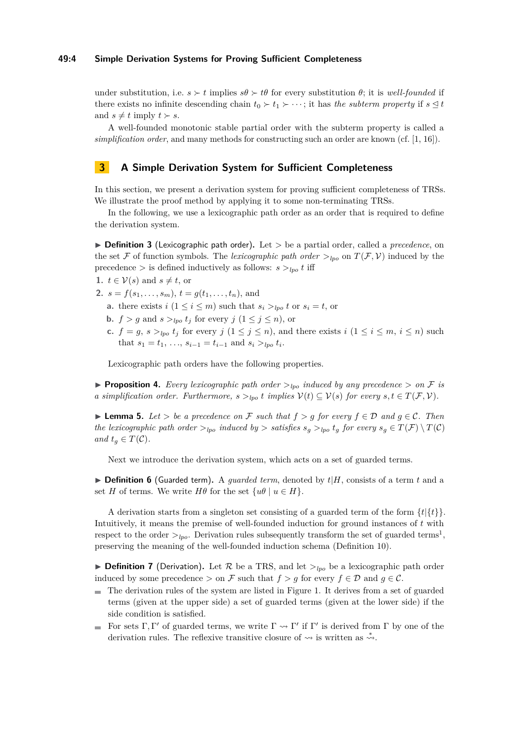## **49:4 Simple Derivation Systems for Proving Sufficient Completeness**

under substitution, i.e.  $s \succ t$  implies  $s\theta \succ t\theta$  for every substitution  $\theta$ ; it is *well-founded* if there exists no infinite descending chain  $t_0 \succ t_1 \succ \cdots$ ; it has *the subterm property* if  $s \leq t$ and  $s \neq t$  imply  $t \succ s$ .

A well-founded monotonic stable partial order with the subterm property is called a *simplification order*, and many methods for constructing such an order are known (cf. [\[1,](#page-13-8) [16\]](#page-14-3)).

# <span id="page-3-0"></span>**3 A Simple Derivation System for Sufficient Completeness**

In this section, we present a derivation system for proving sufficient completeness of TRSs. We illustrate the proof method by applying it to some non-terminating TRSs.

In the following, we use a lexicographic path order as an order that is required to define the derivation system.

▶ **Definition 3** (Lexicographic path order)**.** Let *>* be a partial order, called a *precedence*, on the set F of function symbols. The *lexicographic path order*  $>_{lpo}$  on  $T(\mathcal{F}, \mathcal{V})$  induced by the precedence  $>$  is defined inductively as follows:  $s >_{lpo} t$  iff

**1.** 
$$
t \in \mathcal{V}(s)
$$
 and  $s \neq t$ , or

- **2.**  $s = f(s_1, \ldots, s_m)$ ,  $t = g(t_1, \ldots, t_n)$ , and
	- **a.** there exists  $i$  ( $1 \leq i \leq m$ ) such that  $s_i >_{lmo} t$  or  $s_i = t$ , or
	- **b.**  $f > g$  and  $s >_{lpo} t_j$  for every  $j (1 \leq j \leq n)$ , or
	- **c.**  $f = g$ ,  $s >_{lpo} t_j$  for every  $j$   $(1 \leq j \leq n)$ , and there exists  $i$   $(1 \leq i \leq m, i \leq n)$  such that  $s_1 = t_1, \ldots, s_{i-1} = t_{i-1}$  and  $s_i >_{lpo} t_i$ .

Lexicographic path orders have the following properties.

**• Proposition 4.** Every lexicographic path order  $>_{lpo}$  induced by any precedence  $>$  on F is *a* simplification order. Furthermore,  $s >_{lpo} t$  implies  $V(t) \subseteq V(s)$  for every  $s, t \in T(\mathcal{F}, V)$ .

<span id="page-3-1"></span>▶ **Lemma 5.** *Let*  $>$  *be a precedence on*  $\mathcal F$  *such that*  $f > q$  *for every*  $f \in \mathcal D$  *and*  $q \in \mathcal C$ *. Then the lexicographic path order*  $>_{lpo}$  *induced by*  $>$  *satisfies*  $s_q >_{lpo} t_q$  *for every*  $s_q \in T(F) \setminus T(C)$ *and*  $t_q \in T(\mathcal{C})$ *.* 

Next we introduce the derivation system, which acts on a set of guarded terms.

 $\triangleright$  **Definition 6** (Guarded term). A *guarded term*, denoted by  $t|H$ , consists of a term  $t$  and a set *H* of terms. We write  $H\theta$  for the set  $\{u\theta \mid u \in H\}.$ 

A derivation starts from a singleton set consisting of a guarded term of the form  $\{t|\{t\}\}.$ Intuitively, it means the premise of well-founded induction for ground instances of *t* with respect to the order  $>_{lpo}$ . Derivation rules subsequently transform the set of guarded terms<sup>[1](#page-4-0)</sup>, preserving the meaning of the well-founded induction schema (Definition [10\)](#page-4-1).

<span id="page-3-2"></span>**• Definition 7** (Derivation). Let  $\mathcal{R}$  be a TRS, and let  $>_{lpo}$  be a lexicographic path order induced by some precedence  $>$  on F such that  $f > g$  for every  $f \in \mathcal{D}$  and  $g \in \mathcal{C}$ .

- The derivation rules of the system are listed in Figure [1.](#page-4-2) It derives from a set of guarded  $\equiv$ terms (given at the upper side) a set of guarded terms (given at the lower side) if the side condition is satisfied.
- For sets  $\Gamma, \Gamma'$  of guarded terms, we write  $\Gamma \leadsto \Gamma'$  if  $\Gamma'$  is derived from  $\Gamma$  by one of the derivation rules. The reflexive transitive closure of  $\rightsquigarrow$  is written as  $\stackrel{*}{\rightsquigarrow}$ .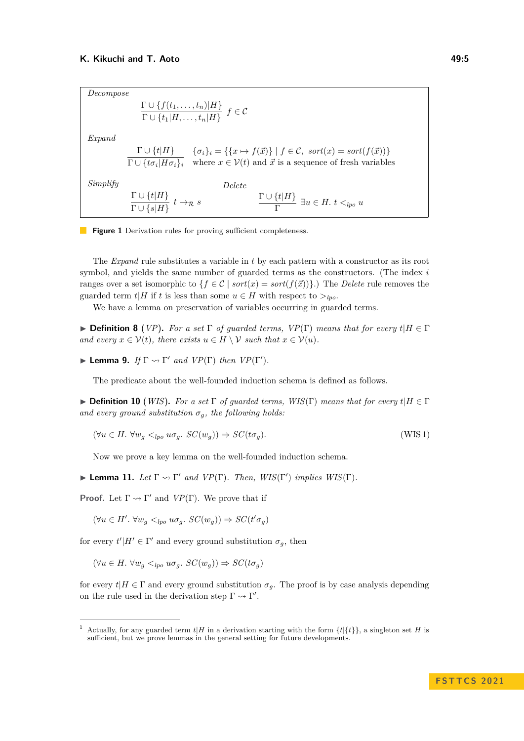<span id="page-4-2"></span>*Decompose*  $\Gamma \cup \{f(t_1,\ldots,t_n)|H\}$  $\Gamma \cup \{t_1|H, \ldots, t_n|H\}$   $f \in \mathcal{C}$ *Expand*  $\Gamma \cup \{t | H\}$  $Γ ∪ {tσ<sub>i</sub> | Hσ<sub>i</sub>}<sub>i</sub>$  $\{\sigma_i\}_i = \{\{x \mapsto f(\vec{x})\} \mid f \in \mathcal{C}, \text{ sort}(x) = \text{sort}(f(\vec{x}))\}$ where  $x \in V(t)$  and  $\vec{x}$  is a sequence of fresh variables *Simplify*  $\Gamma \cup \{t | H\}$  $\frac{1}{\Gamma \cup \{s | H\}}$   $t \to \infty$  *s Delete*  $\Gamma \cup \{t | H\}$  $\frac{\Gamma^{(v_1+1)}}{\Gamma} \exists u \in H. \ t \lt_{lpo} u$ 



The *Expand* rule substitutes a variable in *t* by each pattern with a constructor as its root symbol, and yields the same number of guarded terms as the constructors. (The index *i* ranges over a set isomorphic to  $\{f \in C \mid sort(x) = sort(f(\vec{x}))\}$ .) The *Delete* rule removes the guarded term  $t|H$  if  $t$  is less than some  $u \in H$  with respect to  $>_{lpo}$ .

We have a lemma on preservation of variables occurring in guarded terms.

 $\blacktriangleright$  **Definition 8** (*VP*). For a set  $\Gamma$  of guarded terms,  $VP(\Gamma)$  means that for every  $t|H \in \Gamma$ *and every*  $x \in V(t)$ *, there exists*  $u \in H \setminus V$  *such that*  $x \in V(u)$ *.* 

<span id="page-4-3"></span> $\blacktriangleright$  **Lemma 9.** *If*  $\Gamma \rightsquigarrow \Gamma'$  *and*  $VP(\Gamma)$  *then*  $VP(\Gamma').$ 

The predicate about the well-founded induction schema is defined as follows.

<span id="page-4-1"></span> $\triangleright$  **Definition 10** (*WIS*). *For a set*  $\Gamma$  *of quarded terms, WIS*( $\Gamma$ ) *means that for every*  $t|H \in \Gamma$ *and every ground substitution*  $\sigma_q$ *, the following holds:* 

$$
(\forall u \in H. \ \forall w_g <_{lpo} u \sigma_g. \ SC(w_g)) \Rightarrow SC(t \sigma_g). \tag{WIS 1}
$$

Now we prove a key lemma on the well-founded induction schema.

<span id="page-4-4"></span>**Example 11.** *Let*  $\Gamma \rightsquigarrow \Gamma'$  *and*  $VP(\Gamma)$ *. Then,*  $WIS(\Gamma')$  *implies*  $WIS(\Gamma)$ *.* 

**Proof.** Let  $\Gamma \rightsquigarrow \Gamma'$  and  $VP(\Gamma)$ . We prove that if

 $(\forall u \in H'. \ \forall w_g \lt_{lpo} u \sigma_g \colon SC(w_g)) \Rightarrow SC(t' \sigma_g)$ 

for every  $t'|H' \in \Gamma'$  and every ground substitution  $\sigma_g$ , then

 $(\forall u \in H. \ \forall w_a \leq_{\text{Ino}} w \sigma_a. \ SC(w_a)) \Rightarrow SC(t \sigma_a)$ 

for every  $t|H \in \Gamma$  and every ground substitution  $\sigma_q$ . The proof is by case analysis depending on the rule used in the derivation step  $\Gamma \rightsquigarrow \Gamma'$ .

<span id="page-4-0"></span>Actually, for any guarded term  $t|H$  in a derivation starting with the form  $\{t|\{t\}\}\,$ , a singleton set *H* is sufficient, but we prove lemmas in the general setting for future developments.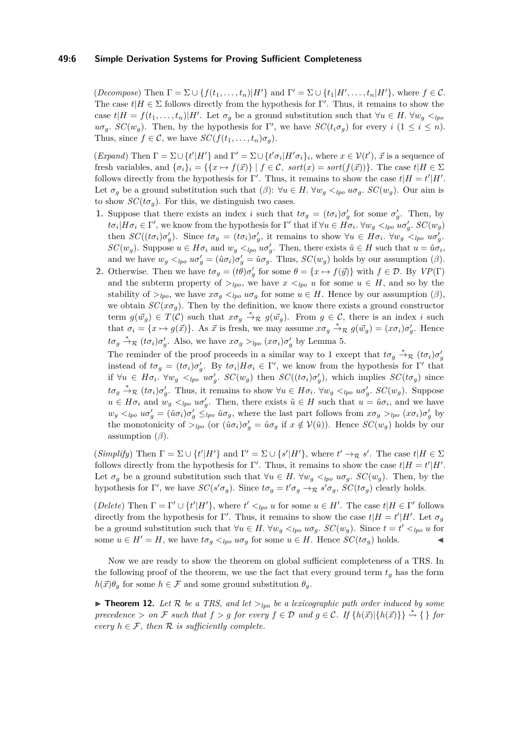## **49:6 Simple Derivation Systems for Proving Sufficient Completeness**

 $(Decompose)$  Then  $\Gamma = \Sigma \cup \{f(t_1, \ldots, t_n) | H' \}$  and  $\Gamma' = \Sigma \cup \{t_1 | H', \ldots, t_n | H' \}$ , where  $f \in \mathcal{C}$ . The case  $t|H \in \Sigma$  follows directly from the hypothesis for  $\Gamma'$ . Thus, it remains to show the case  $t|H = f(t_1, \ldots, t_n)|H'$ . Let  $\sigma_g$  be a ground substitution such that  $\forall u \in H$ .  $\forall w_g \leq_{lp} d$  $u\sigma_g$ *. SC*(*w<sub>g</sub>*). Then, by the hypothesis for Γ', we have  $SC(t_i\sigma_g)$  for every *i* (1 ≤ *i* ≤ *n*). Thus, since  $f \in \mathcal{C}$ , we have  $SC(f(t_1, \ldots, t_n)\sigma_q)$ .

(*Expand*) Then  $\Gamma = \Sigma \cup \{t'|H'\}$  and  $\Gamma' = \Sigma \cup \{t'\sigma_i|H'\sigma_i\}_i$ , where  $x \in \mathcal{V}(t')$ ,  $\vec{x}$  is a sequence of fresh variables, and  $\{\sigma_i\}_i = \{\{x \mapsto f(\vec{x})\} \mid f \in \mathcal{C}, \text{ sort}(x) = \text{sort}(f(\vec{x}))\}.$  The case  $t | H \in \Sigma$ follows directly from the hypothesis for Γ'. Thus, it remains to show the case  $t|H = t'|H'$ . Let  $\sigma_q$  be a ground substitution such that  $(\beta)$ :  $\forall u \in H$ .  $\forall w_q \leq_{l\nu\sigma} u \sigma_q$ .  $SC(w_q)$ . Our aim is to show  $SC(t\sigma_g)$ . For this, we distinguish two cases.

- **1.** Suppose that there exists an index *i* such that  $t\sigma_g = (t\sigma_i)\sigma'_g$  for some  $\sigma'_g$ . Then, by  $t\sigma_i | H\sigma_i \in \Gamma'$ , we know from the hypothesis for  $\Gamma'$  that if  $\forall u \in H\sigma_i$ .  $\forall w_g \lt_{lpo} u\sigma'_g$ .  $SC(w_g)$ then  $SC((t\sigma_i)\sigma'_g)$ . Since  $t\sigma_g = (t\sigma_i)\sigma'_g$ , it remains to show  $\forall u \in H\sigma_i$ .  $\forall w_g \prec_{lpo} u\sigma'_g$ . *SC*(*w<sub>g</sub>*). Suppose  $u \in H\sigma_i$  and  $w_g \lt_{lpo} u\sigma'_g$ . Then, there exists  $\hat{u} \in H$  such that  $u = \hat{u}\sigma_i$ , and we have  $w_g <_{lpo} u\sigma'_g = (\hat{u}\sigma_i)\sigma'_g = \hat{u}\sigma_g$ . Thus,  $SC(w_g)$  holds by our assumption ( $\beta$ ).
- **2.** Otherwise. Then we have  $t\sigma_g = (t\theta)\sigma'_g$  for some  $\theta = \{x \mapsto f(\vec{y})\}$  with  $f \in \mathcal{D}$ . By  $VP(\Gamma)$ and the subterm property of  $>_{lpo}$ , we have  $x <_{lpo} u$  for some  $u \in H$ , and so by the stability of  $>_{lpo}$ , we have  $x\sigma_g <_{lpo} u\sigma_g$  for some  $u \in H$ . Hence by our assumption  $(\beta)$ , we obtain  $SC(x\sigma_q)$ . Then by the definition, we know there exists a ground constructor term  $g(\vec{w}_g) \in T(\mathcal{C})$  such that  $x\sigma_g \stackrel{*}{\to}_{\mathcal{R}} g(\vec{w}_g)$ . From  $g \in \mathcal{C}$ , there is an index *i* such that  $\sigma_i = \{x \mapsto g(\vec{x})\}$ . As  $\vec{x}$  is fresh, we may assume  $x\sigma_g \stackrel{*}{\to}_{\mathcal{R}} g(\vec{w}_g) = (x\sigma_i)\sigma'_g$ . Hence *t*σ<sub>*g*</sub>  $\stackrel{*}{\rightarrow}$ <sub>*R*</sub> (*t*σ*i*</sup>)*σ*<sup>*g*</sup>. Also, we have  $x\sigma_g >_{lpo} (x\sigma_i)\sigma'_g$  by Lemma [5.](#page-3-1)

The reminder of the proof proceeds in a similar way to 1 except that  $t\sigma_g \stackrel{*}{\to}_{\mathcal{R}} (t\sigma_i)\sigma'_g$ instead of  $t\sigma_g = (t\sigma_i)\sigma'_g$ . By  $t\sigma_i|H\sigma_i \in \Gamma'$ , we know from the hypothesis for  $\Gamma'$  that if  $\forall u \in H\sigma_i$ .  $\forall w_g \le_{lpo} w \sigma'_g$ .  $SC(w_g)$  then  $SC((t\sigma_i)\sigma'_g)$ , which implies  $SC(t\sigma_g)$  since  $t\sigma_g \stackrel{*}{\to}_{\mathcal{R}} (t\sigma_i)\sigma'_g$ . Thus, it remains to show  $\forall u \in H\sigma_i$ .  $\forall w_g \lt_{lpo} u\sigma'_g$ .  $SC(w_g)$ . Suppose  $u \in H\sigma_i$  and  $w_g \lt_{lpo} u\sigma'_g$ . Then, there exists  $\hat{u} \in H$  such that  $u = \hat{u}\sigma_i$ , and we have  $w_g \lt_{lpo} u\sigma'_g = (\hat{u}\sigma_i)\sigma'_g \leq_{lpo} \hat{u}\sigma_g$ , where the last part follows from  $x\sigma_g >_{lpo} (x\sigma_i)\sigma'_g$  by the monotonicity of  $>_{lpo}$  (or  $(\hat{u}\sigma_i)\sigma'_g = \hat{u}\sigma_g$  if  $x \notin V(\hat{u})$ ). Hence  $SC(w_g)$  holds by our assumption  $(\beta)$ .

 $(Simplify)$  Then  $\Gamma = \Sigma \cup \{t' | H'\}$  and  $\Gamma' = \Sigma \cup \{s' | H'\}$ , where  $t' \to_{\mathcal{R}} s'$ . The case  $t | H \in \Sigma$ follows directly from the hypothesis for Γ'. Thus, it remains to show the case  $t|H = t'|H'$ . Let  $\sigma_g$  be a ground substitution such that  $\forall u \in H$ .  $\forall w_g \leq_{lpo} u\sigma_g$ .  $SC(w_g)$ . Then, by the hypothesis for  $\Gamma'$ , we have  $SC(s'\sigma_g)$ . Since  $t\sigma_g = t'\sigma_g \rightarrow \mathbb{R} s'\sigma_g$ ,  $SC(t\sigma_g)$  clearly holds.

(*Delete*) Then  $\Gamma = \Gamma' \cup \{t'|H'\}$ , where  $t' <_{lpo} u$  for some  $u \in H'$ . The case  $t|H \in \Gamma'$  follows directly from the hypothesis for Γ'. Thus, it remains to show the case  $t|H = t'|H'$ . Let  $\sigma_g$ be a ground substitution such that  $\forall u \in H$ .  $\forall w_g \leq_{lpo} u \sigma_g$ .  $SC(w_g)$ . Since  $t = t' \leq_{lpo} u$  for some  $u \in H' = H$ , we have  $t\sigma_q \lt_{lpo} u\sigma_q$  for some  $u \in H$ . Hence  $SC(t\sigma_q)$  holds.

Now we are ready to show the theorem on global sufficient completeness of a TRS. In the following proof of the theorem, we use the fact that every ground term  $t<sub>q</sub>$  has the form  $h(\vec{x})\theta_q$  for some  $h \in \mathcal{F}$  and some ground substitution  $\theta_q$ .

<span id="page-5-0"></span> $\blacktriangleright$  **Theorem 12.** Let R be a TRS, and let  $>_{lpo}$  be a lexicographic path order induced by some *precedence*  $>$  *on*  $\mathcal F$  *such that*  $f > q$  *for every*  $f \in \mathcal D$  *and*  $q \in \mathcal C$ *. If*  $\{h(\vec x)|\{h(\vec x)\}\}\stackrel{*}{\leadsto} \{ \}$  for *every*  $h \in \mathcal{F}$ *, then*  $\mathcal{R}$  *is sufficiently complete.*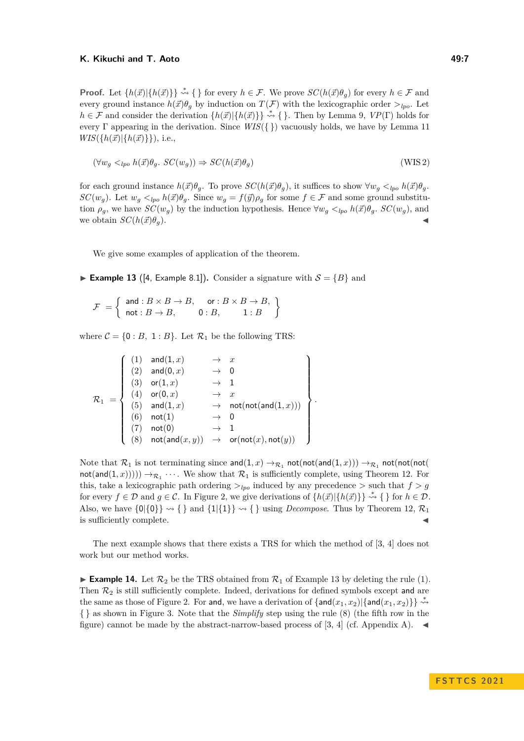**Proof.** Let  $\{h(\vec{x})|\{h(\vec{x})\}\}\rightsquigarrow{\{}\}$  for every  $h \in \mathcal{F}$ . We prove  $SC(h(\vec{x})\theta_q)$  for every  $h \in \mathcal{F}$  and every ground instance  $h(\vec{x})\theta_q$  by induction on  $T(\mathcal{F})$  with the lexicographic order  $>_{lpo}$ . Let  $h \in \mathcal{F}$  and consider the derivation  $\{h(\vec{x})\}\}\rightsquigarrow \{\}.$  Then by Lemma [9,](#page-4-3)  $VP(\Gamma)$  holds for every Γ appearing in the derivation. Since *WIS*({ }) vacuously holds, we have by Lemma [11](#page-4-4)  $WIS({h(\vec{x})}|\{h(\vec{x})\})$ , i.e.,

$$
(\forall w_g <_{lpo} h(\vec{x})\theta_g. \ SC(w_g)) \Rightarrow SC(h(\vec{x})\theta_g)
$$
\n(WIS2)

for each ground instance  $h(\vec{x})\theta_g$ . To prove  $SC(h(\vec{x})\theta_g)$ , it suffices to show  $\forall w_g \lt_{lpo} h(\vec{x})\theta_g$ . *SC*(*w<sub>g</sub>*). Let  $w_g <_{lpo} h(\vec{x})\theta_g$ . Since  $w_g = f(\vec{y})\rho_g$  for some  $f \in \mathcal{F}$  and some ground substitution  $\rho_g$ , we have  $SC(w_g)$  by the induction hypothesis. Hence  $\forall w_g \lt_{lpo} h(\vec{x}) \theta_g$ .  $SC(w_g)$ , and we obtain  $SC(h(\vec{x})\theta_g)$ .

<span id="page-6-0"></span>We give some examples of application of the theorem.

**Example 13** ([\[4,](#page-13-4) Example 8.1]). Consider a signature with  $S = \{B\}$  and

 $\mathcal{F} = \begin{cases} \n\text{and} : B \times B \to B, & \text{or} : B \times B \to B, \\ \n\text{and} & \text{or} : D \to B, & \text{or} : B \times B \to B, \n\end{cases}$  $not : B \to B$ ,  $0 : B$ ,  $1 : B$  $\mathcal{L}$ 

where  $C = \{0 : B, 1 : B\}$ . Let  $\mathcal{R}_1$  be the following TRS:

$$
\mathcal{R}_1 \ =\left\{\begin{array}{cccc} (1) & \text{and}(1,x) & \to & x \\ (2) & \text{and}(0,x) & \to & 0 \\ (3) & \text{or}(1,x) & \to & 1 \\ (4) & \text{or}(0,x) & \to & x \\ (5) & \text{and}(1,x) & \to & \text{not}(\text{not}(\text{and}(1,x))) \\ (6) & \text{not}(1) & \to & 0 \\ (7) & \text{not}(0) & \to & 1 \\ (8) & \text{not}(\text{and}(x,y)) & \to & \text{or}(\text{not}(x),\text{not}(y)) \end{array}\right\}.
$$

Note that  $\mathcal{R}_1$  is not terminating since and  $(1, x) \rightarrow_{\mathcal{R}_1}$  not(not(and(1, x)))  $\rightarrow_{\mathcal{R}_1}$  not(not(not(  $\text{not}(\text{and}(1,x)))) \rightarrow_{\mathcal{R}_1} \cdots$ . We show that  $\mathcal{R}_1$  is sufficiently complete, using Theorem [12.](#page-5-0) For this, take a lexicographic path ordering  $>_{lpo}$  induced by any precedence  $>$  such that  $f > g$ for every  $f \in \mathcal{D}$  and  $g \in \mathcal{C}$ . In Figure [2,](#page-7-0) we give derivations of  $\{h(\vec{x})\}\}\stackrel{*}{\leadsto} \{\}\$ for  $h \in \mathcal{D}$ . Also, we have  $\{0\}\{\emptyset\} \rightsquigarrow \{\}$  and  $\{1\}\{\{1\}\} \rightsquigarrow \{\}$  using *Decompose*. Thus by Theorem [12,](#page-5-0)  $\mathcal{R}_1$ is sufficiently complete.

<span id="page-6-1"></span>The next example shows that there exists a TRS for which the method of [\[3,](#page-13-3) [4\]](#page-13-4) does not work but our method works.

**Example 14.** Let  $\mathcal{R}_2$  be the TRS obtained from  $\mathcal{R}_1$  of Example [13](#page-6-0) by deleting the rule (1). Then  $\mathcal{R}_2$  is still sufficiently complete. Indeed, derivations for defined symbols except and are the same as those of Figure [2.](#page-7-0) For and, we have a derivation of  $\{and(x_1, x_2)\}\$   $\stackrel{*}{\rightsquigarrow}$ { } as shown in Figure [3.](#page-7-1) Note that the *Simplify* step using the rule (8) (the fifth row in the figure) cannot be made by the abstract-narrow-based process of [\[3,](#page-13-3) [4\]](#page-13-4) (cf. Appendix A).  $\blacktriangleleft$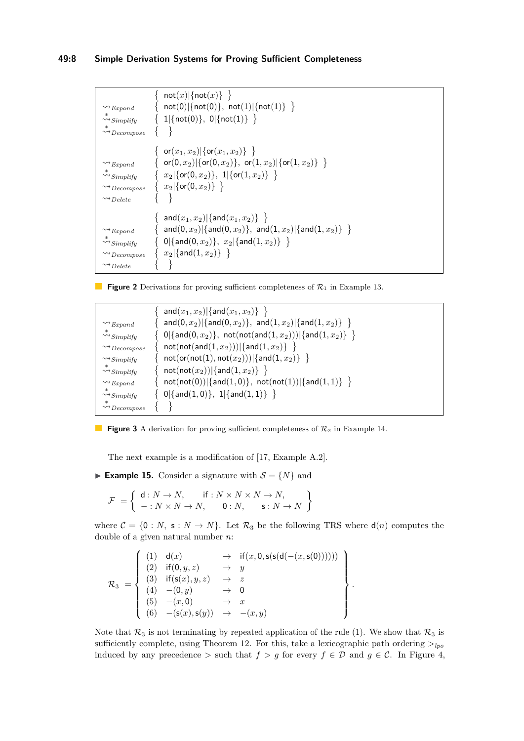## **49:8 Simple Derivation Systems for Proving Sufficient Completeness**

```
∤
                            \textsf{not}(x)|\{\textsf{not}(x)\}\rangle\rightsquigarrowExpand {
                            not(0)|\{not(0)\},\;not(1)|\{not(1)\}\;\}\stackrel{*}{\rightsquigarrow}Simplify {
                            1|\{\text{not}(0)\},\ 0|\{\text{not}(1)\}\ \}∗⇝Decompose  	
                        \{ or(x_1, x_2)|\{or(x_1, x_2)} \}⇝Expand 
                            \mathsf{or}(0,x_2)|\{\mathsf{or}(0,x_2)\},\,\, \mathsf{or}(1,x_2)|\{\mathsf{or}(1,x_2)\}\, \ \}∗⇝Simplify 
                            x_2|{or(0, x<sub>2</sub>)}, 1|{or(1, x<sub>2</sub>)}}
⇝Decompose 
                            x_2\vert \{\mathsf{or}(\mathsf{0},x_2)\}\;\;\big\}\rightsquigarrowDelete \{ \}\{ \text{ and } (x_1, x_2) | \{ \text{and} (x_1, x_2) \} \}⇝Expand 
                            \{ \mathsf{and}(0,x_2) | \{ \mathsf{and}(0,x_2) \}, \ \ \mathsf{and}(1,x_2) | \{ \mathsf{and}(1,x_2) \} \ \ \}∗⇝Simplify 
                            0|\{\mathsf{and}(0,x_2)\},\ x_2|\{\mathsf{and}(1,x_2)\}\ \}\ \}⇝Decompose 
                            x_2|{and(1, x_2)} }
⇝Delete
```
**Figure 2** Derivations for proving sufficient completeness of  $\mathcal{R}_1$  in Example [13.](#page-6-0)

<span id="page-7-1"></span>

|                                                 | $ {\sf and}(x_1,x_2) \{{\sf and}(x_1,x_2)\}\rangle $                                                                                                    |
|-------------------------------------------------|---------------------------------------------------------------------------------------------------------------------------------------------------------|
| $\rightsquigarrow$ Expand                       | $and (0, x_2)   {and (0, x_2) }, and (1, x_2)   {and (1, x_2) }  $                                                                                      |
| $\stackrel{\curvearrowleft}{\leadsto}$ Simplify | $\{ \begin{array}{l} 0 \   \{ \mathsf{and}(0,x_2) \}, \ \mathsf{not}(\mathsf{not}(\mathsf{and}(1,x_2)))   \{ \mathsf{and}(1,x_2) \} \ \ \} \end{array}$ |
| $\rightsquigarrow$ Decompose                    | $not(not(and(1, x_2))) \{and(1, x_2)\}\rangle$                                                                                                          |
| $\rightsquigarrow$ Simplify                     | $not( (or (not (1), not (x_2)) )   {and (1, x_2) } \}$                                                                                                  |
| $\stackrel{*}{\leadsto} Simplify$               | $not(not(x_2))   {and(1, x_2)} \}  $                                                                                                                    |
| $\rightsquigarrow$ Expand                       | $not(not(0)) \{and(1,0)\}, not(not(1)) \{and(1,1)\}\$                                                                                                   |
| $\stackrel{*}{\leadsto} Simplify$               | $\{ 0   \{and(1,0)\}, 1   \{and(1,1)\} \}$                                                                                                              |
| $\leadsto$ $Decompose$                          |                                                                                                                                                         |

**Figure 3** A derivation for proving sufficient completeness of  $\mathcal{R}_2$  in Example [14.](#page-6-1)

The next example is a modification of [\[17,](#page-14-0) Example A.2].

<span id="page-7-2"></span>**Example 15.** Consider a signature with  $S = \{N\}$  and

$$
\mathcal{F} = \left\{ \begin{array}{ll} \mathsf{d}: N \to N, & \text{if}: N \times N \times N \to N, \\ -: N \times N \to N, & 0:N, & \mathsf{s}: N \to N \end{array} \right\}
$$

where  $C = \{0 : N, s : N \to N\}$ . Let  $\mathcal{R}_3$  be the following TRS where  $d(n)$  computes the double of a given natural number *n*:

$$
\mathcal{R}_3 = \left\{ \begin{array}{cccc} (1) & d(x) & \to & \text{if}(x, 0, \text{s}(\text{s}(d(-(x, \text{s}(0)))))) \\ (2) & \text{if}(0, y, z) & \to & y \\ (3) & \text{if}(\text{s}(x), y, z) & \to & z \\ (4) & -(0, y) & \to & 0 \\ (5) & -(x, 0) & \to & x \\ (6) & -(\text{s}(x), \text{s}(y)) & \to & -(x, y) \end{array} \right\}.
$$

Note that  $\mathcal{R}_3$  is not terminating by repeated application of the rule (1). We show that  $\mathcal{R}_3$  is sufficiently complete, using Theorem [12.](#page-5-0) For this, take a lexicographic path ordering  $>_{lpo}$ induced by any precedence  $>$  such that  $f > g$  for every  $f \in \mathcal{D}$  and  $g \in \mathcal{C}$ . In Figure [4,](#page-8-1)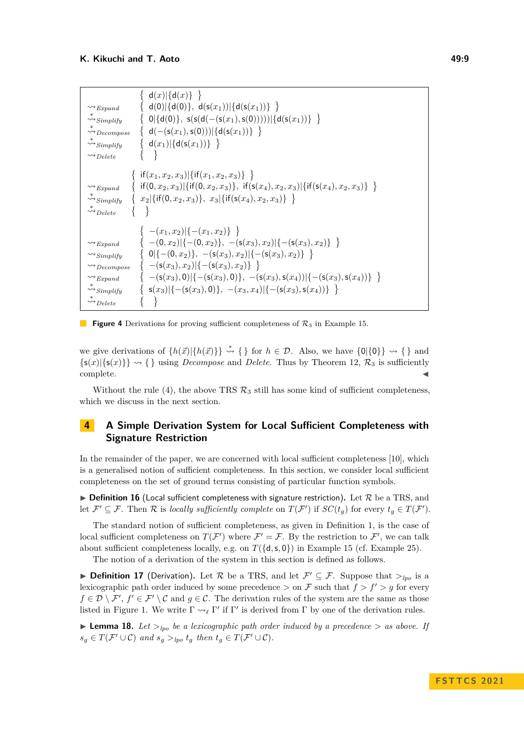<span id="page-8-1"></span>

| $\rightsquigarrow$ Expand                                                                                                                                                                                                                                                                                                                                          | $d(x) \{d(x)\}\}\$                                                                                                  |
|--------------------------------------------------------------------------------------------------------------------------------------------------------------------------------------------------------------------------------------------------------------------------------------------------------------------------------------------------------------------|---------------------------------------------------------------------------------------------------------------------|
| $\leadsto_{Simplify}$                                                                                                                                                                                                                                                                                                                                              | $\{ d(0) \{ d(0)\}, d(s(x_1)) \{ d(s(x_1))\} \}$                                                                    |
| $\leadsto$ Decompose                                                                                                                                                                                                                                                                                                                                               | $\{ 0 \{d(0)\}, \ s(s(d(-(s(x_1),s(0)))) \{d(s(x_1))\}\}$                                                           |
| $\rightsquigarrow$ Simplify                                                                                                                                                                                                                                                                                                                                        | { $d(-(s(x_1), s(0))) \{d(s(x_1))\}\$                                                                               |
| $\rightsquigarrow$ Delete                                                                                                                                                                                                                                                                                                                                          | $\{ d(x_1)   \{ d(s(x_1)) \} \}$                                                                                    |
| { if $(x_1, x_2, x_3)$ { if $(x_1, x_2, x_3)$ } }<br>{ if $(0, x_2, x_3)$ { if $(0, x_2, x_3)$ }, if $(s(x_4), x_2, x_3)$ { if $(s(x_4), x_2, x_3)$ }<br>$\rightsquigarrow$ Expand<br>$\{x_2\vert \{\text{if}(0,x_2,x_3)\}, x_3\vert \{\text{if}(\textsf{s}(x_4),x_2,x_3)\}\ \}$<br>$\stackrel{\curvearrowleft}{\rightsquigarrow} Simplify$<br>$\leadsto_{Delete}$ |                                                                                                                     |
| $\rightsquigarrow$ Expand                                                                                                                                                                                                                                                                                                                                          | $-(x_1, x_2)$  { $-(x_1, x_2)$ }                                                                                    |
| $\rightsquigarrow$ Simplify                                                                                                                                                                                                                                                                                                                                        | $\{- (0, x_2)   {-(0, x_2)}\}, - (s(x_3), x_2)   {- (s(x_3), x_2)}\}$                                               |
| $\rightsquigarrow$ Decompose                                                                                                                                                                                                                                                                                                                                       | $\{ 0   \{-(0,x_2)\}, -(s(x_3),x_2)  \{-(s(x_3),x_2)\} \}$                                                          |
| $\rightsquigarrow$ Expand                                                                                                                                                                                                                                                                                                                                          | $\{-\left(s(x_3), x_2\right)   \{-\left(s(x_3), x_2\right) \} \}$                                                   |
| $\rightsquigarrow$ Simplify                                                                                                                                                                                                                                                                                                                                        | $\{-\left(s(x_3),0\right) -\left(s(x_3),0\right)\},\ -\left(s(x_3),s(x_4)\right) -\left(s(x_3),s(x_4)\right)\}\ \}$ |
| $\leadsto$ Delete                                                                                                                                                                                                                                                                                                                                                  | $\{ \mathsf{s}(x_3)   \{-(\mathsf{s}(x_3),0)\}, -(x_3,x_4)   \{-(\mathsf{s}(x_3),\mathsf{s}(x_4))\} \}$             |



we give derivations of  $\{h(\vec{x})|\{h(\vec{x})\}\}\rightsquigarrow \{\}$  for  $h \in \mathcal{D}$ . Also, we have  $\{0|\{0\}\}\rightsquigarrow \{\}$  and  ${s(x)} {\s(x)} \rightarrow {\}$  using *Decompose* and *Delete*. Thus by Theorem [12,](#page-5-0)  $\mathcal{R}_3$  is sufficiently  $\blacksquare$ complete.  $\blacktriangleleft$ 

Without the rule (4), the above TRS  $\mathcal{R}_3$  still has some kind of sufficient completeness, which we discuss in the next section.

# <span id="page-8-0"></span>**4 A Simple Derivation System for Local Sufficient Completeness with Signature Restriction**

In the remainder of the paper, we are concerned with local sufficient completeness [\[10\]](#page-13-5), which is a generalised notion of sufficient completeness. In this section, we consider local sufficient completeness on the set of ground terms consisting of particular function symbols.

 $\triangleright$  **Definition 16** (Local sufficient completeness with signature restriction). Let R be a TRS, and let  $\mathcal{F}' \subseteq \mathcal{F}$ . Then  $\mathcal{R}$  is *locally sufficiently complete* on  $T(\mathcal{F}')$  if  $SC(t_g)$  for every  $t_g \in T(\mathcal{F}')$ .

The standard notion of sufficient completeness, as given in Definition [1,](#page-2-0) is the case of local sufficient completeness on  $T(F')$  where  $F' = F$ . By the restriction to F', we can talk about sufficient completeness locally, e.g. on  $T({d, s, 0})$  in Example [15](#page-7-2) (cf. Example [25\)](#page-9-1).

The notion of a derivation of the system in this section is defined as follows.

▶ **Definition 17** (Derivation). Let R be a TRS, and let  $\mathcal{F}' \subseteq \mathcal{F}$ . Suppose that  $>_{lpo}$  is a lexicographic path order induced by some precedence  $>$  on F such that  $f > f' > q$  for every  $f \in \mathcal{D} \setminus \mathcal{F}', f' \in \mathcal{F}' \setminus \mathcal{C}$  and  $g \in \mathcal{C}$ . The derivation rules of the system are the same as those listed in Figure [1.](#page-4-2) We write  $\Gamma \leadsto_{\ell} \Gamma'$  if  $\Gamma'$  is derived from  $\Gamma$  by one of the derivation rules.

**• Lemma 18.** Let  $>_{lpo}$  be a lexicographic path order induced by a precedence  $>$  as above. If  $s_g \in T(\mathcal{F}' \cup \mathcal{C})$  *and*  $s_g >_{lpo} t_g$  *then*  $t_g \in T(\mathcal{F}' \cup \mathcal{C})$ *.*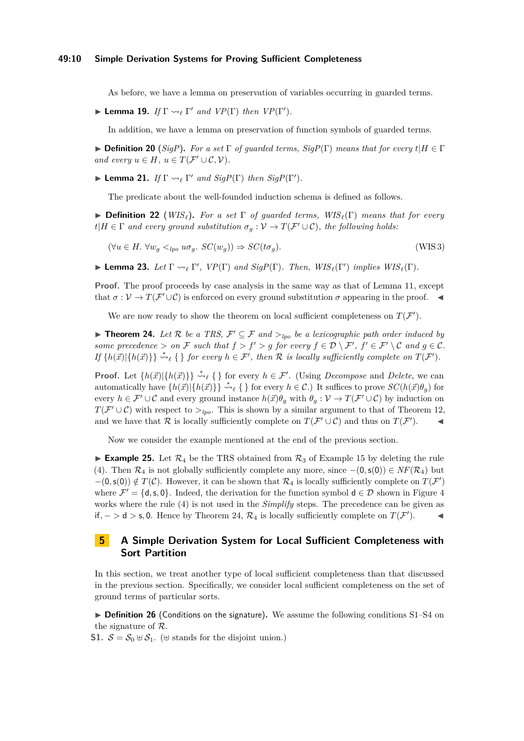## **49:10 Simple Derivation Systems for Proving Sufficient Completeness**

As before, we have a lemma on preservation of variables occurring in guarded terms.

 $\blacktriangleright$  **Lemma 19.** *If*  $\Gamma \rightsquigarrow_{\ell} \Gamma'$  *and*  $VP(\Gamma)$  *then*  $VP(\Gamma').$ 

In addition, we have a lemma on preservation of function symbols of guarded terms.

 $\triangleright$  **Definition 20** (*SigP*). For a set  $\Gamma$  of guarded terms, *SigP*( $\Gamma$ ) means that for every  $t|H \in \Gamma$ *and every*  $u \in H$ *,*  $u \in T(F' \cup C, V)$ *.* 

 $\blacktriangleright$  **Lemma 21.** *If*  $\Gamma \rightsquigarrow_{\ell} \Gamma'$  *and*  $Sign(\Gamma)$  *then*  $Sign(\Gamma').$ 

The predicate about the well-founded induction schema is defined as follows.

▶ **Definition 22** (*WISℓ*)**.** *For a set* Γ *of guarded terms, WISℓ*(Γ) *means that for every*  $t|H \in \Gamma$  *and every ground substitution*  $\sigma_g : V \to T(\mathcal{F}' \cup \mathcal{C})$ *, the following holds:* 

 $(\forall u \in H. \ \forall w_a \leq_{\text{lpo}} u \sigma_a. \ SC(w_a)) \Rightarrow SC(t \sigma_a).$  (WIS 3)

 $\blacktriangleright$  **Lemma 23.** *Let*  $\Gamma \rightsquigarrow_{\ell} \Gamma'$ ,  $VP(\Gamma)$  *and SigP*( $\Gamma$ )*. Then, WIS*<sub> $\ell$ </sub>( $\Gamma'$ ) *implies WIS*<sub> $\ell$ </sub>( $\Gamma$ )*.* 

**Proof.** The proof proceeds by case analysis in the same way as that of Lemma [11,](#page-4-4) except that  $\sigma: \mathcal{V} \to T(\mathcal{F}' \cup \mathcal{C})$  is enforced on every ground substitution  $\sigma$  appearing in the proof.  $\blacktriangleleft$ 

We are now ready to show the theorem on local sufficient completeness on  $T(\mathcal{F}')$ .

<span id="page-9-2"></span>▶ **Theorem 24.** Let R be a TRS,  $\mathcal{F}' \subseteq \mathcal{F}$  and  $>_{lpo}$  be a lexicographic path order induced by *some precedence*  $> on \mathcal{F}$  *such that*  $f > f' > g$  *for every*  $f \in \mathcal{D} \setminus \mathcal{F}'$ ,  $f' \in \mathcal{F}' \setminus \mathcal{C}$  *and*  $g \in \mathcal{C}$ *.*  $If \{h(\vec{x}) | \{h(\vec{x})\}\} \stackrel{*}{\leadsto}_{\ell} \{\}\$  *for every*  $h \in \mathcal{F}'$ , then  $\mathcal R$  is locally sufficiently complete on  $T(\mathcal{F}')$ .

**Proof.** Let  $\{h(\vec{x}) | \{h(\vec{x})\}\}\rightsquigarrow_{\ell} \{\}\}\$ for every  $h \in \mathcal{F}'$ . (Using *Decompose* and *Delete*, we can automatically have  $\{h(\vec{x})|\{h(\vec{x})\}\}\stackrel{*}{\leadsto}_{\ell} \{\}\$ for every  $h \in \mathcal{C}$ .) It suffices to prove  $SC(h(\vec{x})\theta_q)$  for every  $h \in \mathcal{F}' \cup \mathcal{C}$  and every ground instance  $h(\vec{x})\theta_g$  with  $\theta_g : \mathcal{V} \to T(\mathcal{F}' \cup \mathcal{C})$  by induction on  $T(\mathcal{F}' \cup \mathcal{C})$  with respect to  $>_{lpo}$ . This is shown by a similar argument to that of Theorem [12,](#page-5-0) and we have that R is locally sufficiently complete on  $T(\mathcal{F}' \cup \mathcal{C})$  and thus on  $T(\mathcal{F}')$ .

Now we consider the example mentioned at the end of the previous section.

<span id="page-9-1"></span>**Example 25.** Let  $\mathcal{R}_4$  be the TRS obtained from  $\mathcal{R}_3$  of Example [15](#page-7-2) by deleting the rule (4). Then  $\mathcal{R}_4$  is not globally sufficiently complete any more, since  $-(0, s(0)) \in NF(\mathcal{R}_4)$  but  $-(0, s(0)) \notin T(\mathcal{C})$ . However, it can be shown that  $\mathcal{R}_4$  is locally sufficiently complete on  $T(\mathcal{F}')$ where  $\mathcal{F}' = \{d, s, 0\}$ . Indeed, the derivation for the function symbol  $d \in \mathcal{D}$  shown in Figure [4](#page-8-1) works where the rule (4) is not used in the *Simplify* steps. The precedence can be given as if*,* − *>* d *>* s*,* 0. Hence by Theorem [24,](#page-9-2) R<sup>4</sup> is locally sufficiently complete on *T*(F ′ ). ◀

# <span id="page-9-0"></span>**5 A Simple Derivation System for Local Sufficient Completeness with Sort Partition**

In this section, we treat another type of local sufficient completeness than that discussed in the previous section. Specifically, we consider local sufficient completeness on the set of ground terms of particular sorts.

<span id="page-9-4"></span>▶ **Definition 26** (Conditions on the signature)**.** We assume the following conditions [S1–](#page-9-3)[S4](#page-10-0) on the signature of R.

<span id="page-9-3"></span>**S1.**  $S = S_0 ⊕ S_1$ . ( $⊌$  stands for the disjoint union.)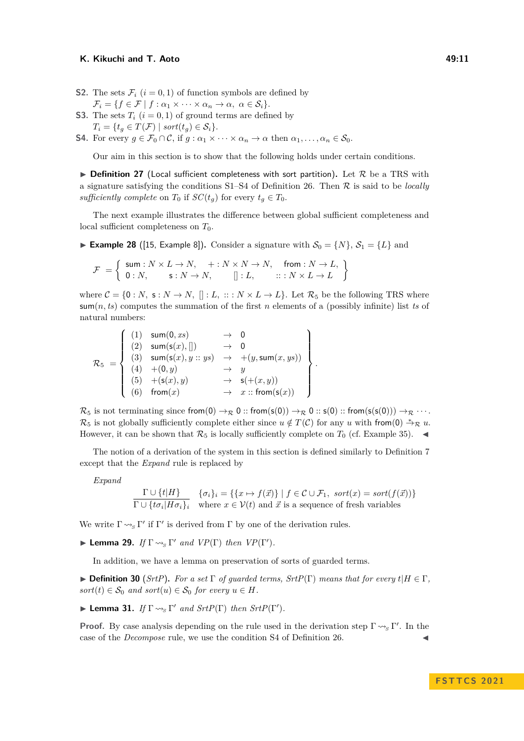- **S2.** The sets  $\mathcal{F}_i$  ( $i = 0, 1$ ) of function symbols are defined by  $\mathcal{F}_i = \{f \in \mathcal{F} \mid f : \alpha_1 \times \cdots \times \alpha_n \to \alpha, \ \alpha \in \mathcal{S}_i\}.$
- **S3.** The sets  $T_i$  ( $i = 0, 1$ ) of ground terms are defined by  $T_i = \{t_g \in T(\mathcal{F}) \mid sort(t_g) \in \mathcal{S}_i\}.$
- <span id="page-10-0"></span>**S4.** For every  $g \in \mathcal{F}_0 \cap \mathcal{C}$ , if  $g : \alpha_1 \times \cdots \times \alpha_n \to \alpha$  then  $\alpha_1, \ldots, \alpha_n \in \mathcal{S}_0$ .

Our aim in this section is to show that the following holds under certain conditions.

 $\triangleright$  **Definition 27** (Local sufficient completeness with sort partition). Let  $\mathcal{R}$  be a TRS with a signature satisfying the conditions [S1](#page-9-3)[–S4](#page-10-0) of Definition [26.](#page-9-4) Then R is said to be *locally sufficiently complete* on  $T_0$  if  $SC(t_q)$  for every  $t_q \in T_0$ .

The next example illustrates the difference between global sufficient completeness and local sufficient completeness on  $T_0$ .

<span id="page-10-2"></span>▶ **Example 28** ([\[15,](#page-14-1) Example 8]). Consider a signature with  $S_0 = \{N\}, S_1 = \{L\}$  and

$$
\mathcal{F} = \left\{ \begin{array}{ll} \mathsf{sum}: N \times L \to N, & + : N \times N \to N, & \mathsf{from}: N \to L, \\ 0: N, & \mathsf{s}: N \to N, & []: L, & :: : N \times L \to L \end{array} \right\}
$$

where  $C = \{0: N, s: N \to N, |]: L, ::: N \times L \to L\}$ . Let  $\mathcal{R}_5$  be the following TRS where sum(*n, ts*) computes the summation of the first *n* elements of a (possibly infinite) list *ts* of natural numbers:

$$
\mathcal{R}_5 = \left\{\begin{array}{cccc} (1) & \text{sum}(0, xs) & \rightarrow & 0 \\ (2) & \text{sum}(\mathsf{s}(x), []) & \rightarrow & 0 \\ (3) & \text{sum}(\mathsf{s}(x), y::ys) & \rightarrow & +(y, \text{sum}(x, ys)) \\ (4) & +(0, y) & \rightarrow & y \\ (5) & +(s(x), y) & \rightarrow & s(+(x, y)) \\ (6) & \text{from}(x) & \rightarrow & x::\text{from}(\mathsf{s}(x)) \end{array}\right\}.
$$

 $\mathcal{R}_5$  is not terminating since from(0)  $\rightarrow_{\mathcal{R}} 0$  :: from(s(0))  $\rightarrow_{\mathcal{R}} 0$  :: s(0) :: from(s(s(0)))  $\rightarrow_{\mathcal{R}} \cdots$ .  $\mathcal{R}_5$  is not globally sufficiently complete either since  $u \notin T(\mathcal{C})$  for any  $u$  with from(0)  $\overset{*}{\rightarrow}_{\mathcal{R}} u$ . However, it can be shown that  $\mathcal{R}_5$  is locally sufficiently complete on  $T_0$  (cf. Example [35\)](#page-12-1).  $\blacktriangleleft$ 

The notion of a derivation of the system in this section is defined similarly to Definition [7](#page-3-2) except that the *Expand* rule is replaced by

*Expand*

$$
\frac{\Gamma \cup \{t | H\}}{\Gamma \cup \{t \sigma_i \mid H\sigma_i\}_i} \quad \{\sigma_i\}_i = \{\{x \mapsto f(\vec{x})\} \mid f \in \mathcal{C} \cup \mathcal{F}_1, \text{ sort}(x) = \text{sort}(f(\vec{x}))\}
$$
\n
$$
\Gamma \cup \{\tau \sigma_i | H\sigma_i\}_i \quad \text{where } x \in \mathcal{V}(t) \text{ and } \vec{x} \text{ is a sequence of fresh variables}
$$

We write  $\Gamma \leadsto_{S} \Gamma'$  if  $\Gamma'$  is derived from  $\Gamma$  by one of the derivation rules.

 $\blacktriangleright$  **Lemma 29.** *If*  $\Gamma \rightsquigarrow_S \Gamma'$  *and*  $VP(\Gamma)$  *then*  $VP(\Gamma').$ 

In addition, we have a lemma on preservation of sorts of guarded terms.

▶ **Definition 30** (*SrtP*). *For a set*  $\Gamma$  *of guarded terms,*  $StrP(\Gamma)$  *means that for every*  $t|H \in \Gamma$ *,*  $sort(t) \in S_0$  *and*  $sort(u) \in S_0$  *for every*  $u \in H$ *.* 

<span id="page-10-1"></span> $\blacktriangleright$  **Lemma 31.** *If*  $\Gamma \rightsquigarrow_S \Gamma'$  *and*  $StrP(\Gamma)$  *then*  $StrP(\Gamma').$ 

**Proof.** By case analysis depending on the rule used in the derivation step  $\Gamma \rightsquigarrow_S \Gamma'$ . In the case of the *Decompose* rule, we use the condition [S4](#page-10-0) of Definition [26.](#page-9-4)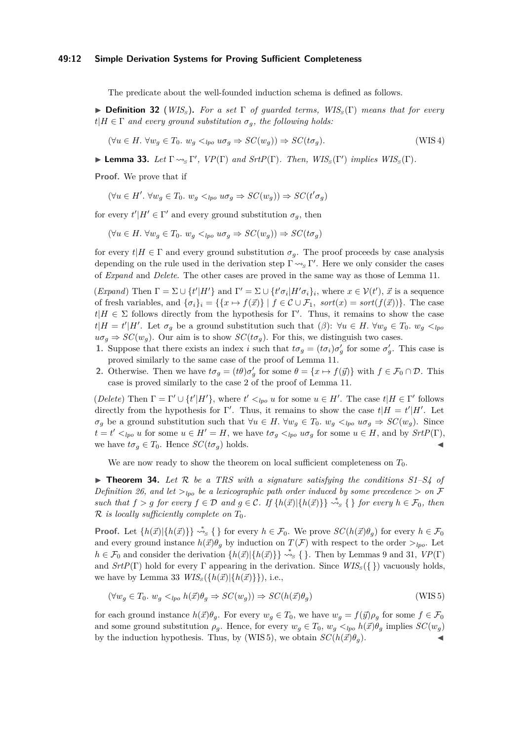## **49:12 Simple Derivation Systems for Proving Sufficient Completeness**

The predicate about the well-founded induction schema is defined as follows.

▶ **Definition 32** (*WIS<sup>S</sup>* )**.** *For a set* Γ *of guarded terms, WIS<sup>S</sup>* (Γ) *means that for every*  $t|H \in \Gamma$  *and every ground substitution*  $\sigma_g$ *, the following holds:* 

$$
(\forall u \in H. \ \forall w_g \in T_0. \ w_g \lt_{lpo} w_g \Rightarrow SC(w_g)) \Rightarrow SC(t\sigma_g). \tag{WIS 4}
$$

<span id="page-11-0"></span>**Example 33.** Let  $\Gamma \rightsquigarrow_S \Gamma'$ ,  $VP(\Gamma)$  and  $StrP(\Gamma)$ . Then,  $WIS_S(\Gamma')$  implies  $WIS_S(\Gamma)$ .

**Proof.** We prove that if

 $(\forall u \in H'. \ \forall w_g \in T_0. \ w_g \lt_{lpo} u \sigma_g \Rightarrow SC(w_g)) \Rightarrow SC(t' \sigma_g)$ 

for every  $t'|H' \in \Gamma'$  and every ground substitution  $\sigma_g$ , then

 $(\forall u \in H. \ \forall w_q \in T_0. \ w_q \lt_{lpo} u \sigma_q \Rightarrow SC(w_q)) \Rightarrow SC(t \sigma_q)$ 

for every  $t|H \in \Gamma$  and every ground substitution  $\sigma_g$ . The proof proceeds by case analysis depending on the rule used in the derivation step Γ <sub>→</sub> Γ'. Here we only consider the cases of *Expand* and *Delete*. The other cases are proved in the same way as those of Lemma [11.](#page-4-4)

(*Expand*) Then  $\Gamma = \Sigma \cup \{t'|H'\}$  and  $\Gamma' = \Sigma \cup \{t'\sigma_i|H'\sigma_i\}_i$ , where  $x \in \mathcal{V}(t')$ ,  $\vec{x}$  is a sequence of fresh variables, and  $\{\sigma_i\}_i = \{\{x \mapsto f(\vec{x})\} \mid f \in \mathcal{C} \cup \mathcal{F}_1$ ,  $sort(x) = sort(f(\vec{x}))\}$ . The case  $t|H \in \Sigma$  follows directly from the hypothesis for Γ'. Thus, it remains to show the case  $t|H = t'|H'$ . Let  $\sigma_g$  be a ground substitution such that  $(\beta)$ :  $\forall u \in H$ .  $\forall w_g \in T_0$ .  $w_g \lt_{lpg}$  $u\sigma_g \Rightarrow SC(w_g)$ . Our aim is to show  $SC(t\sigma_g)$ . For this, we distinguish two cases.

- **1.** Suppose that there exists an index *i* such that  $t\sigma_g = (t\sigma_i)\sigma'_g$  for some  $\sigma'_g$ . This case is proved similarly to the same case of the proof of Lemma [11.](#page-4-4)
- **2.** Otherwise. Then we have  $t\sigma_g = (t\theta)\sigma'_g$  for some  $\theta = \{x \mapsto f(\vec{y})\}$  with  $f \in \mathcal{F}_0 \cap \mathcal{D}$ . This case is proved similarly to the case 2 of the proof of Lemma [11.](#page-4-4)

(*Delete*) Then  $\Gamma = \Gamma' \cup \{t'|H'\}$ , where  $t' <_{lpo} u$  for some  $u \in H'$ . The case  $t|H \in \Gamma'$  follows directly from the hypothesis for Γ'. Thus, it remains to show the case  $t|H = t'|H'$ . Let  $\sigma_g$  be a ground substitution such that  $\forall u \in H$ .  $\forall w_g \in T_0$ *.*  $w_g \lt_{lpo} u\sigma_g \Rightarrow SC(w_g)$ . Since  $t = t' <_{lpo} u$  for some  $u \in H' = H$ , we have  $t \sigma_g <_{lpo} u \sigma_g$  for some  $u \in H$ , and by  $SrtP(\Gamma)$ , we have  $t\sigma_q \in T_0$ . Hence  $SC(t\sigma_q)$  holds.

We are now ready to show the theorem on local sufficient completeness on  $T_0$ .

<span id="page-11-2"></span>▶ **Theorem 34.** *Let* R *be a TRS with a signature satisfying the conditions [S1–](#page-9-3)[S4](#page-10-0) of Definition* [26,](#page-9-4) and let  $>_{lpo}$  be a lexicographic path order induced by some precedence  $>$  on F *such that*  $f > g$  *for every*  $f \in \mathcal{D}$  *and*  $g \in \mathcal{C}$ *. If*  $\{h(\vec{x}) | \{h(\vec{x})\}\} \sim_{S}^* \{ \}$  *for every*  $h \in \mathcal{F}_0$ *, then* R *is locally sufficiently complete on T*0*.*

**Proof.** Let  $\{h(\vec{x})|\{h(\vec{x})\}\}\rightsquigarrow_S \{\}\$  for every  $h \in \mathcal{F}_0$ . We prove  $SC(h(\vec{x})\theta_g)$  for every  $h \in \mathcal{F}_0$ and every ground instance  $h(\vec{x})\theta_g$  by induction on  $T(\mathcal{F})$  with respect to the order  $>_{lpo}$ . Let  $h \in \mathcal{F}_0$  and consider the derivation  $\{h(\vec{x})\}\{h(\vec{x})\}\}\rightsquigarrow_S \{\}.$  Then by Lemmas [9](#page-4-3) and [31,](#page-10-1) *VP*(Γ) and  $StrP(\Gamma)$  hold for every  $\Gamma$  appearing in the derivation. Since  $WIS_{\mathcal{S}}(\{\})$  vacuously holds, we have by Lemma [33](#page-11-0)  $WIS_s({h(\vec{x})|\{h(\vec{x})\}})$ , i.e.,

<span id="page-11-1"></span>
$$
(\forall w_g \in T_0. \ w_g <_{lpo} h(\vec{x})\theta_g \Rightarrow SC(w_g)) \Rightarrow SC(h(\vec{x})\theta_g) \tag{WIS 5}
$$

for each ground instance  $h(\vec{x})\theta_g$ . For every  $w_g \in T_0$ , we have  $w_g = f(\vec{y})\rho_g$  for some  $f \in \mathcal{F}_0$ and some ground substitution  $\rho_g$ . Hence, for every  $w_g \in T_0$ ,  $w_g \lt_{lpo} h(\vec{x})\theta_g$  implies  $SC(w_g)$ by the induction hypothesis. Thus, by (WIS [5\)](#page-11-1), we obtain  $SC(h(\vec{x})\theta_q)$ .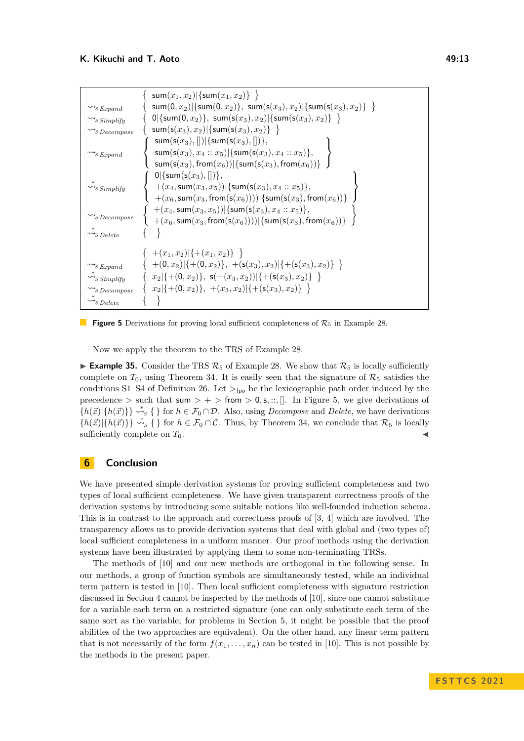<span id="page-12-2"></span>

|                                             | sum $(x_1, x_2)$  {sum $(x_1, x_2)$ } }                                                                                                  |
|---------------------------------------------|------------------------------------------------------------------------------------------------------------------------------------------|
| $\rightsquigarrow$ s Expand                 | sum(0, x <sub>2</sub> ) {sum(0, x <sub>2</sub> )}, sum(s(x <sub>3</sub> ), x <sub>2</sub> ) {sum(s(x <sub>3</sub> ), x <sub>2</sub> )} } |
| $\rightsquigarrow_S$ Simplify               | $0 \{\text{sum}(0,x_2)\}\,$ , sum $(s(x_3),x_2) \{\text{sum}(s(x_3),x_2)\}\$                                                             |
| $\rightsquigarrow$ s Decompose              | sum(s(x <sub>3</sub> ), x <sub>2</sub> ) {sum(s(x <sub>3</sub> ), x <sub>2</sub> )} }                                                    |
|                                             | sum(s(x <sub>3</sub> ), []) {sum(s(x <sub>3</sub> ), [])},                                                                               |
| $\rightsquigarrow$ s Expand                 | sum(s(x <sub>3</sub> ), x <sub>4</sub> :: x <sub>5</sub> ) {sum(s(x <sub>3</sub> ), x <sub>4</sub> :: x <sub>5</sub> )},                 |
|                                             | $sum(s(x_3), from(x_6))$ {sum(s(x <sub>3</sub> ), from(x <sub>6</sub> ))}                                                                |
|                                             | $0 \{\mathsf{sum}(\mathsf{s}(x_3),[])\}\,$                                                                                               |
| $\rightsquigarrow_S$ Simplify               | $+(x_4, \text{sum}(x_3, x_5))  \{\text{sum}(\text{s}(x_3), x_4 :: x_5)\},$                                                               |
|                                             | $+(x_6, \text{sum}(x_3, \text{from}(s(x_6))))$ {sum(s(x <sub>3</sub> ), from(x <sub>6</sub> ))}                                          |
|                                             | $+(x_4, \text{sum}(x_3, x_5))$  {sum(s(x <sub>3</sub> ), x <sub>4</sub> :: x <sub>5</sub> )},                                            |
| $\rightsquigarrow$ s Decompose              | $+(x_6, \text{sum}(x_3, \text{from}(s(x_6))))$ {sum(s(x <sub>3</sub> ), from(x <sub>6</sub> ))}                                          |
| $\rightsquigarrow_{S} Delete$               |                                                                                                                                          |
|                                             |                                                                                                                                          |
|                                             | $+(x_1,x_2) \{+(x_1,x_2)\}\rangle$                                                                                                       |
| $\rightsquigarrow$ s Expand                 | $+(0,x_2)[\{+(0,x_2)\},+(s(x_3),x_2)[\{+(s(x_3),x_2)\}\]$                                                                                |
| $\rightsquigarrow$ s Simplify               | $\{x_2 \{+(0,x_2)\},\ s(+ (x_3,x_2)) \{+(s(x_3),x_2)\}\}\$                                                                               |
| $\leadsto_{\mathcal{S}} \mathit{Decompose}$ | $\{x_2 \{+(0,x_2)\},+(x_3,x_2) \{+(s(x_3),x_2)\}\}\$                                                                                     |
| $\rightsquigarrow$ s Delete                 |                                                                                                                                          |



Now we apply the theorem to the TRS of Example [28.](#page-10-2)

<span id="page-12-1"></span>**Example 35.** Consider the TRS  $\mathcal{R}_5$  of Example [28.](#page-10-2) We show that  $\mathcal{R}_5$  is locally sufficiently complete on  $T_0$ , using Theorem [34.](#page-11-2) It is easily seen that the signature of  $\mathcal{R}_5$  satisfies the conditions [S1–](#page-9-3)[S4](#page-10-0) of Definition [26.](#page-9-4) Let  $>_{lpo}$  be the lexicographic path order induced by the precedence  $>$  such that sum  $>$  +  $>$  from  $>$  0, s, ::, []. In Figure [5,](#page-12-2) we give derivations of  ${h(\vec{x})} \{h(\vec{x})\} \stackrel{*}{\leadsto} \{ \}$  for  $h \in \mathcal{F}_0 \cap \mathcal{D}$ . Also, using *Decompose* and *Delete*, we have derivations  ${h(\vec{x})} \{h(\vec{x})\} \stackrel{*}{\leadsto} \{ \}$  for  $h \in \mathcal{F}_0 \cap \mathcal{C}$ . Thus, by Theorem [34,](#page-11-2) we conclude that  $\mathcal{R}_5$  is locally sufficiently complete on  $T_0$ .

# <span id="page-12-0"></span>**6 Conclusion**

We have presented simple derivation systems for proving sufficient completeness and two types of local sufficient completeness. We have given transparent correctness proofs of the derivation systems by introducing some suitable notions like well-founded induction schema. This is in contrast to the approach and correctness proofs of [\[3,](#page-13-3) [4\]](#page-13-4) which are involved. The transparency allows us to provide derivation systems that deal with global and (two types of) local sufficient completeness in a uniform manner. Our proof methods using the derivation systems have been illustrated by applying them to some non-terminating TRSs.

The methods of [\[10\]](#page-13-5) and our new methods are orthogonal in the following sense. In our methods, a group of function symbols are simultaneously tested, while an individual term pattern is tested in [\[10\]](#page-13-5). Then local sufficient completeness with signature restriction discussed in Section [4](#page-8-0) cannot be inspected by the methods of [\[10\]](#page-13-5), since one cannot substitute for a variable each term on a restricted signature (one can only substitute each term of the same sort as the variable; for problems in Section [5,](#page-9-0) it might be possible that the proof abilities of the two approaches are equivalent). On the other hand, any linear term pattern that is not necessarily of the form  $f(x_1, \ldots, x_n)$  can be tested in [\[10\]](#page-13-5). This is not possible by the methods in the present paper.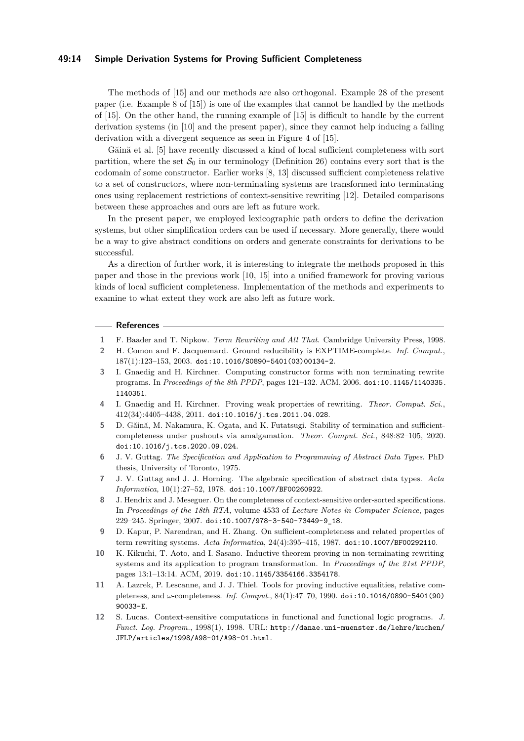## **49:14 Simple Derivation Systems for Proving Sufficient Completeness**

The methods of [\[15\]](#page-14-1) and our methods are also orthogonal. Example [28](#page-10-2) of the present paper (i.e. Example 8 of [\[15\]](#page-14-1)) is one of the examples that cannot be handled by the methods of [\[15\]](#page-14-1). On the other hand, the running example of [\[15\]](#page-14-1) is difficult to handle by the current derivation systems (in [\[10\]](#page-13-5) and the present paper), since they cannot help inducing a failing derivation with a divergent sequence as seen in Figure 4 of [\[15\]](#page-14-1).

Găină et al. [\[5\]](#page-13-9) have recently discussed a kind of local sufficient completeness with sort partition, where the set  $S_0$  in our terminology (Definition [26\)](#page-9-4) contains every sort that is the codomain of some constructor. Earlier works [\[8,](#page-13-10) [13\]](#page-14-4) discussed sufficient completeness relative to a set of constructors, where non-terminating systems are transformed into terminating ones using replacement restrictions of context-sensitive rewriting [\[12\]](#page-13-11). Detailed comparisons between these approaches and ours are left as future work.

In the present paper, we employed lexicographic path orders to define the derivation systems, but other simplification orders can be used if necessary. More generally, there would be a way to give abstract conditions on orders and generate constraints for derivations to be successful.

As a direction of further work, it is interesting to integrate the methods proposed in this paper and those in the previous work [\[10,](#page-13-5) [15\]](#page-14-1) into a unified framework for proving various kinds of local sufficient completeness. Implementation of the methods and experiments to examine to what extent they work are also left as future work.

## **References**

- <span id="page-13-8"></span>**1** F. Baader and T. Nipkow. *Term Rewriting and All That*. Cambridge University Press, 1998.
- <span id="page-13-0"></span>**2** H. Comon and F. Jacquemard. Ground reducibility is EXPTIME-complete. *Inf. Comput.*, 187(1):123–153, 2003. [doi:10.1016/S0890-5401\(03\)00134-2](https://doi.org/10.1016/S0890-5401(03)00134-2).
- <span id="page-13-3"></span>**3** I. Gnaedig and H. Kirchner. Computing constructor forms with non terminating rewrite programs. In *Proceedings of the 8th PPDP*, pages 121–132. ACM, 2006. [doi:10.1145/1140335.](https://doi.org/10.1145/1140335.1140351) [1140351](https://doi.org/10.1145/1140335.1140351).
- <span id="page-13-4"></span>**4** I. Gnaedig and H. Kirchner. Proving weak properties of rewriting. *Theor. Comput. Sci.*, 412(34):4405–4438, 2011. [doi:10.1016/j.tcs.2011.04.028](https://doi.org/10.1016/j.tcs.2011.04.028).
- <span id="page-13-9"></span>**5** D. Găină, M. Nakamura, K. Ogata, and K. Futatsugi. Stability of termination and sufficientcompleteness under pushouts via amalgamation. *Theor. Comput. Sci.*, 848:82–105, 2020. [doi:10.1016/j.tcs.2020.09.024](https://doi.org/10.1016/j.tcs.2020.09.024).
- <span id="page-13-6"></span>**6** J. V. Guttag. *The Specification and Application to Programming of Abstract Data Types*. PhD thesis, University of Toronto, 1975.
- <span id="page-13-7"></span>**7** J. V. Guttag and J. J. Horning. The algebraic specification of abstract data types. *Acta Informatica*, 10(1):27–52, 1978. [doi:10.1007/BF00260922](https://doi.org/10.1007/BF00260922).
- <span id="page-13-10"></span>**8** J. Hendrix and J. Meseguer. On the completeness of context-sensitive order-sorted specifications. In *Proceedings of the 18th RTA*, volume 4533 of *Lecture Notes in Computer Science*, pages 229–245. Springer, 2007. [doi:10.1007/978-3-540-73449-9\\_18](https://doi.org/10.1007/978-3-540-73449-9_18).
- <span id="page-13-1"></span>**9** D. Kapur, P. Narendran, and H. Zhang. On sufficient-completeness and related properties of term rewriting systems. *Acta Informatica*, 24(4):395–415, 1987. [doi:10.1007/BF00292110](https://doi.org/10.1007/BF00292110).
- <span id="page-13-5"></span>**10** K. Kikuchi, T. Aoto, and I. Sasano. Inductive theorem proving in non-terminating rewriting systems and its application to program transformation. In *Proceedings of the 21st PPDP*, pages 13:1–13:14. ACM, 2019. [doi:10.1145/3354166.3354178](https://doi.org/10.1145/3354166.3354178).
- <span id="page-13-2"></span>**11** A. Lazrek, P. Lescanne, and J. J. Thiel. Tools for proving inductive equalities, relative completeness, and *ω*-completeness. *Inf. Comput.*, 84(1):47–70, 1990. [doi:10.1016/0890-5401\(90\)](https://doi.org/10.1016/0890-5401(90)90033-E) [90033-E](https://doi.org/10.1016/0890-5401(90)90033-E).
- <span id="page-13-11"></span>**12** S. Lucas. Context-sensitive computations in functional and functional logic programs. *J. Funct. Log. Program.*, 1998(1), 1998. URL: [http://danae.uni-muenster.de/lehre/kuchen/](http://danae.uni-muenster.de/lehre/kuchen/JFLP/articles/1998/A98-01/A98-01.html) [JFLP/articles/1998/A98-01/A98-01.html](http://danae.uni-muenster.de/lehre/kuchen/JFLP/articles/1998/A98-01/A98-01.html).